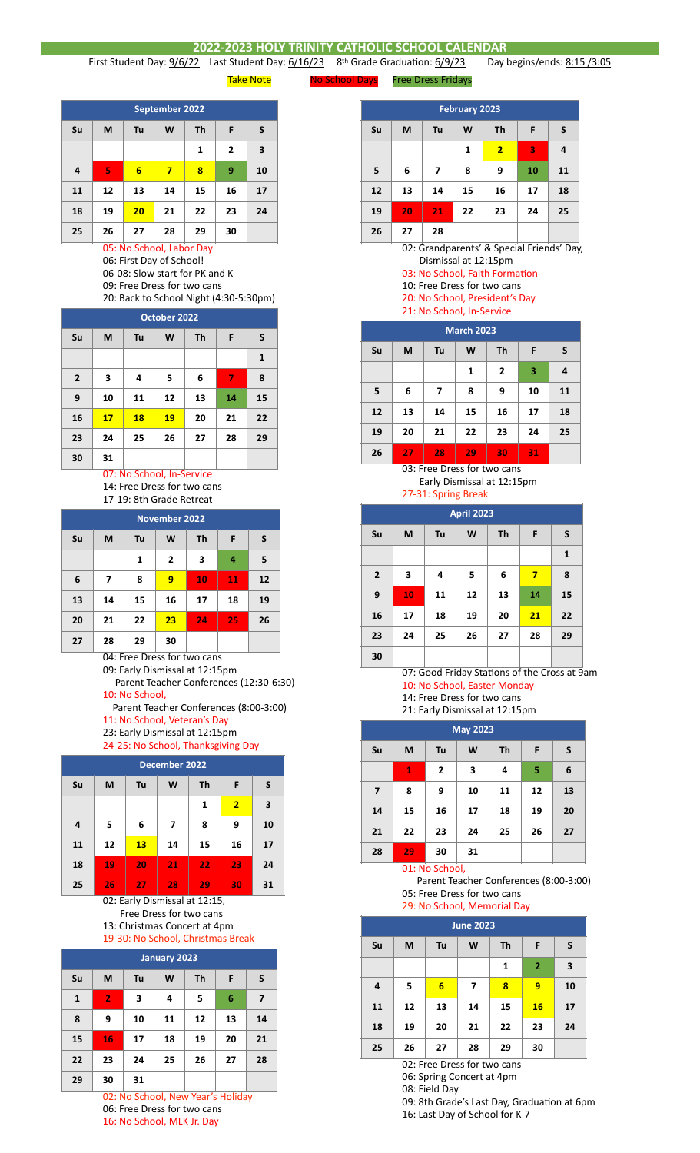## **2022-2023 HOLY TRINITY CATHOLIC SCHOOL CALENDAR**<br>22 Last Student Day: 6/16/23 8<sup>th</sup> Grade Graduation: 6/9/23 Day I

First Student Day: 9/6/22 Last Student Day: 6/16/23 8th Grade Graduation: 6/9/23 Day begins/ends: 8:15 /3:05

Take Note **No School Days** Free Dress Fridays

| September 2022 |    |                 |    |    |                |    |  |  |
|----------------|----|-----------------|----|----|----------------|----|--|--|
| Su             | M  | F               | S  |    |                |    |  |  |
|                |    |                 |    | 1  | $\overline{2}$ | 3  |  |  |
| $\overline{4}$ | 5  | $6\phantom{1}6$ | 7  | 8  | 9              | 10 |  |  |
| 11             | 12 | 13              | 14 | 15 | 16             | 17 |  |  |
| 18             | 19 | 20              | 21 | 22 | 23             | 24 |  |  |
| 25             | 26 | 27              | 28 | 29 | 30             |    |  |  |

05: No School, Labor Day 06: First Day of School!

06-08: Slow start for PK and K 09: Free Dress for two cans

20: Back to School Night (4:30-5:30pm)

| October 2022   |    |    |    |    |    |    |  |
|----------------|----|----|----|----|----|----|--|
| Su             | M  | Tu | W  | Th | F  | S  |  |
|                |    |    |    |    |    | 1  |  |
| $\overline{2}$ | 3  | 4  | 5  | 6  | 7  | 8  |  |
| 9              | 10 | 11 | 12 | 13 | 14 | 15 |  |
| 16             | 17 | 18 | 19 | 20 | 21 | 22 |  |
| 23             | 24 | 25 | 26 | 27 | 28 | 29 |  |
| 30             | 31 |    |    |    |    |    |  |

## 07: No School, In-Service 14: Free Dress for two cans

17-19: 8th Grade Retreat

| <b>November 2022</b> |    |    |                |    |    |    |  |  |
|----------------------|----|----|----------------|----|----|----|--|--|
| Su                   | M  | Tu | W              | Th | F  | S  |  |  |
|                      |    | 1  | $\overline{2}$ | 3  | 4  | 5  |  |  |
| 6                    | 7  | 8  | 9              | 10 | 11 | 12 |  |  |
| 13                   | 14 | 15 | 16             | 17 | 18 | 19 |  |  |
| 20                   | 21 | 22 | 23             | 24 | 25 | 26 |  |  |
| 27                   | 28 | 29 | 30             |    |    |    |  |  |

04: Free Dress for two cans

09: Early Dismissal at 12:15pm

 Parent Teacher Conferences (12:30-6:30) 10: No School,

Parent Teacher Conferences (8:00-3:00)

11: No School, Veteran's Day

23: Early Dismissal at 12:15pm

24-25: No School, Thanksgiving Day

| December 2022 |    |                    |    |    |                |    |  |
|---------------|----|--------------------|----|----|----------------|----|--|
| Su            | М  | Th<br>F<br>Tu<br>W |    |    |                |    |  |
|               |    |                    |    | 1  | $\overline{2}$ | 3  |  |
| 4             | 5  | 6                  | 7  | 8  | 9              | 10 |  |
| 11            | 12 | 13                 | 14 | 15 | 16             | 17 |  |
| 18            | 19 | 20                 | 21 | 22 | 23             | 24 |  |
| 25            | 26 | 27                 | 28 | 29 | 30             | 31 |  |

02: Early Dismissal at 12:15, Free Dress for two cans 13: Christmas Concert at 4pm 19-30: No School, Christmas Break

**January 2023 Su M Tu W Th F S 1 2 3 4 5 6 7 8 9 10 11 12 13 14 15 16 17 18 19 20 21 22 23 24 25 26 27 28 29 30 31**

02: No School, New Year's Holiday 06: Free Dress for two cans 16: No School, MLK Jr. Day

| <b>February 2023</b> |    |                                |    |                |    |          |  |  |
|----------------------|----|--------------------------------|----|----------------|----|----------|--|--|
| Su                   | M  | <b>Th</b><br>S<br>F<br>Tu<br>W |    |                |    |          |  |  |
|                      |    |                                | 1  | $\overline{2}$ | 3  | 4        |  |  |
| 5                    | 6  | 7                              | 8  | 9              | 10 | 11       |  |  |
| 12                   | 13 | 14                             | 15 | 16             | 17 | 18       |  |  |
| 19                   | 20 | 21                             | 22 | 23             | 24 | 25       |  |  |
| 26                   | 27 | 28                             |    |                |    | $\cdots$ |  |  |

02: Grandparents' & Special Friends' Day, Dismissal at 12:15pm

03: No School, Faith Formation

- 10: Free Dress for two cans
- 20: No School, President's Day 21: No School, In-Service

| <b>March 2023</b> |    |                    |    |                |    |    |  |  |
|-------------------|----|--------------------|----|----------------|----|----|--|--|
| Su                | M  | Th<br>F<br>W<br>Tu |    |                |    |    |  |  |
|                   |    |                    | 1  | $\overline{2}$ | 3  | 4  |  |  |
| 5                 | 6  | 7                  | 8  | 9              | 10 | 11 |  |  |
| 12                | 13 | 14                 | 15 | 16             | 17 | 18 |  |  |
| 19                | 20 | 21                 | 22 | 23             | 24 | 25 |  |  |
| 26                | 27 | 28                 | 29 | 30             | 31 |    |  |  |

03: Free Dress for two cans Early Dismissal at 12:15pm

27-31: Spring Break

| <b>April 2023</b> |    |    |    |    |    |    |  |
|-------------------|----|----|----|----|----|----|--|
| Su                | M  | S  |    |    |    |    |  |
|                   |    |    |    |    |    | 1  |  |
| $\overline{2}$    | 3  | 4  | 5  | 6  | 7  | 8  |  |
| 9                 | 10 | 11 | 12 | 13 | 14 | 15 |  |
| 16                | 17 | 18 | 19 | 20 | 21 | 22 |  |
| 23                | 24 | 25 | 26 | 27 | 28 | 29 |  |
| 30                |    |    |    |    |    |    |  |

07: Good Friday Stations of the Cross at 9am 10: No School, Easter Monday

14: Free Dress for two cans

21: Early Dismissal at 12:15pm

| <b>May 2023</b> |    |                |    |           |    |    |  |  |
|-----------------|----|----------------|----|-----------|----|----|--|--|
| Su              | M  | Tu             | W  | <b>Th</b> | F  | S  |  |  |
|                 | 1  | $\overline{2}$ | 3  | 4         | 5  | 6  |  |  |
| $\overline{7}$  | 8  | 9              | 10 | 11        | 12 | 13 |  |  |
| 14              | 15 | 16             | 17 | 18        | 19 | 20 |  |  |
| 21              | 22 | 23             | 24 | 25        | 26 | 27 |  |  |
| 28              | 29 | 30             | 31 |           |    |    |  |  |
| 01: No School,  |    |                |    |           |    |    |  |  |

 Parent Teacher Conferences (8:00-3:00) 05: Free Dress for two cans

29: No School, Memorial Day

| <b>June 2023</b> |    |    |                |    |                |    |  |  |
|------------------|----|----|----------------|----|----------------|----|--|--|
| Su               | M  | S  |                |    |                |    |  |  |
|                  |    |    |                | 1  | $\overline{2}$ | 3  |  |  |
| 4                | 5  | 6  | $\overline{ }$ | 8  | 9              | 10 |  |  |
| 11               | 12 | 13 | 14             | 15 | 16             | 17 |  |  |
| 18               | 19 | 20 | 21             | 22 | 23             | 24 |  |  |
| 25               | 26 | 27 | 28             | 29 | 30             |    |  |  |

02: Free Dress for two cans

06: Spring Concert at 4pm

08: Field Day

09: 8th Grade's Last Day, Graduation at 6pm

16: Last Day of School for K-7